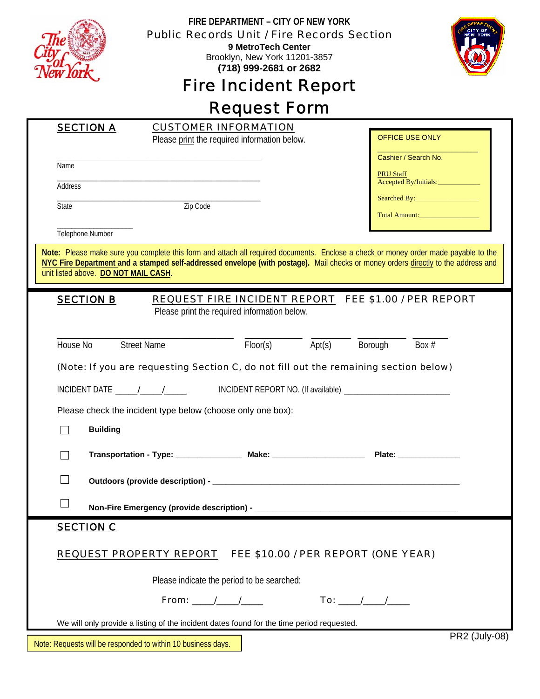|                                                                                                                                                                                                                                                                                                                  | FIRE DEPARTMENT - CITY OF NEW YORK<br><b>Public Records Unit / Fire Records Section</b><br>9 MetroTech Center |                                          |
|------------------------------------------------------------------------------------------------------------------------------------------------------------------------------------------------------------------------------------------------------------------------------------------------------------------|---------------------------------------------------------------------------------------------------------------|------------------------------------------|
|                                                                                                                                                                                                                                                                                                                  | Brooklyn, New York 11201-3857<br>(718) 999-2681 or 2682                                                       |                                          |
| <b>Fire Incident Report</b>                                                                                                                                                                                                                                                                                      |                                                                                                               |                                          |
| <b>Request Form</b>                                                                                                                                                                                                                                                                                              |                                                                                                               |                                          |
| <b>SECTION A</b>                                                                                                                                                                                                                                                                                                 | <b>CUSTOMER INFORMATION</b><br>Please print the required information below.                                   | OFFICE USE ONLY                          |
| Name                                                                                                                                                                                                                                                                                                             |                                                                                                               | Cashier / Search No.<br><b>PRU Staff</b> |
| Address                                                                                                                                                                                                                                                                                                          |                                                                                                               | Accepted By/Initials:_______________     |
| State                                                                                                                                                                                                                                                                                                            | Zip Code                                                                                                      | Total Amount:                            |
| Telephone Number                                                                                                                                                                                                                                                                                                 |                                                                                                               |                                          |
| Note: Please make sure you complete this form and attach all required documents. Enclose a check or money order made payable to the<br>NYC Fire Department and a stamped self-addressed envelope (with postage). Mail checks or money orders directly to the address and<br>unit listed above. DO NOT MAIL CASH. |                                                                                                               |                                          |
| <b>SECTION B</b><br>REQUEST FIRE INCIDENT REPORT FEE \$1.00 / PER REPORT                                                                                                                                                                                                                                         |                                                                                                               |                                          |
| Please print the required information below.                                                                                                                                                                                                                                                                     |                                                                                                               |                                          |
| House No                                                                                                                                                                                                                                                                                                         | <b>Street Name</b><br>Floor(s)<br>Apt(s)                                                                      | Borough<br>Box #                         |
| (Note: If you are requesting Section C, do not fill out the remaining section below)                                                                                                                                                                                                                             |                                                                                                               |                                          |
| INCIDENT DATE _____/_____/___________________INCIDENT REPORT NO. (If available) ___________                                                                                                                                                                                                                      |                                                                                                               |                                          |
| Please check the incident type below (choose only one box):                                                                                                                                                                                                                                                      |                                                                                                               |                                          |
| <b>Building</b>                                                                                                                                                                                                                                                                                                  |                                                                                                               |                                          |
| П                                                                                                                                                                                                                                                                                                                |                                                                                                               |                                          |
| $\Box$                                                                                                                                                                                                                                                                                                           |                                                                                                               |                                          |
| ⊔                                                                                                                                                                                                                                                                                                                |                                                                                                               |                                          |
| <b>SECTION C</b>                                                                                                                                                                                                                                                                                                 |                                                                                                               |                                          |
| REQUEST PROPERTY REPORT FEE \$10.00 / PER REPORT (ONE YEAR)                                                                                                                                                                                                                                                      |                                                                                                               |                                          |
| Please indicate the period to be searched:                                                                                                                                                                                                                                                                       |                                                                                                               |                                          |
| From: $\frac{1}{\sqrt{2}}$                                                                                                                                                                                                                                                                                       |                                                                                                               |                                          |
| We will only provide a listing of the incident dates found for the time period requested.                                                                                                                                                                                                                        |                                                                                                               |                                          |
| <b>PR2 (July-08)</b><br>Note: Requests will be responded to within 10 business days.                                                                                                                                                                                                                             |                                                                                                               |                                          |